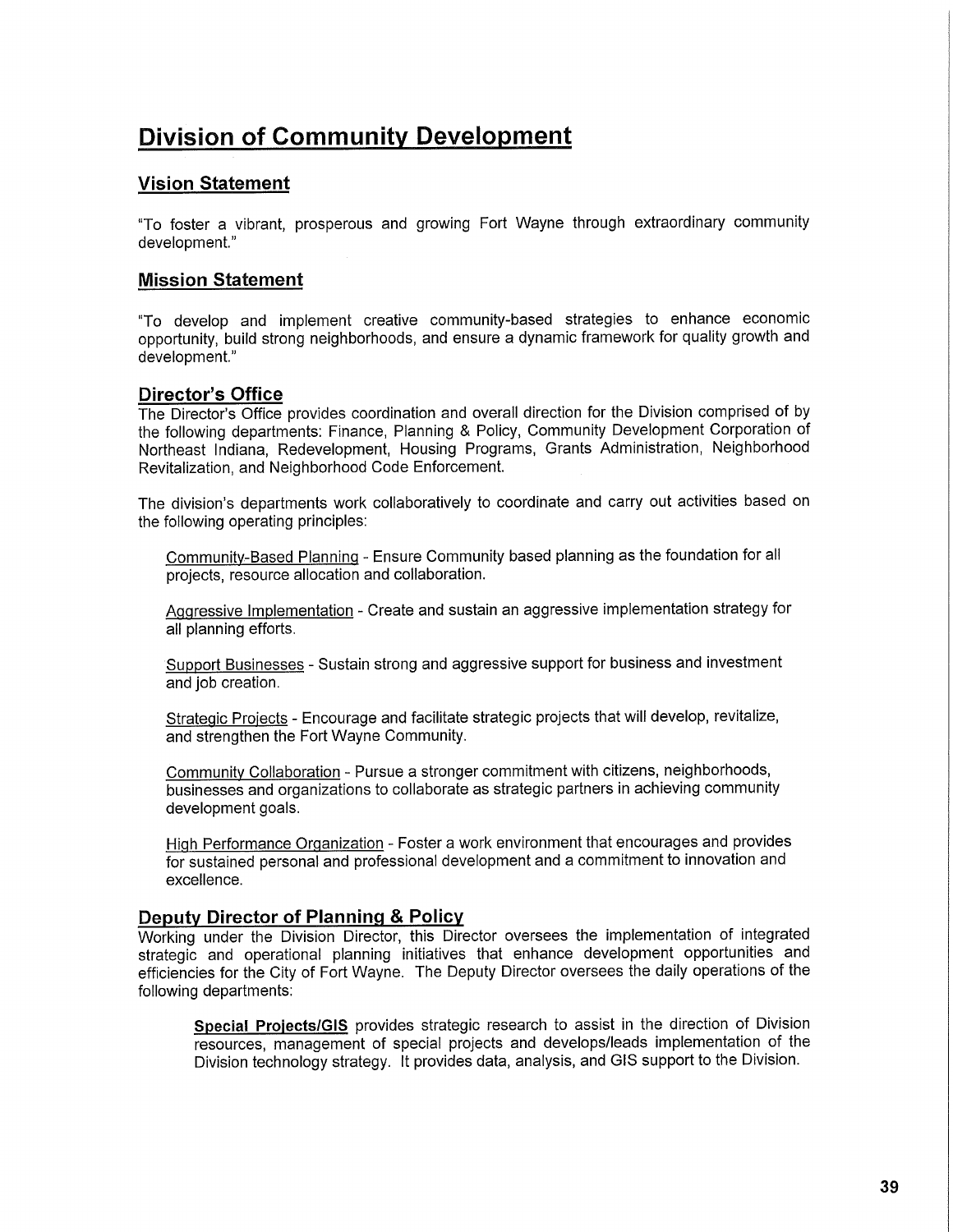# **Division of Community Development**

# **Vision Statement**

"To foster a vibrant, prosperous and growing Fort Wayne through extraordinary community development."

## **Mission Statement**

"To develop and implement creative community-based strategies to enhance economic opportunity, build strong neighborhoods, and ensure a dynamic framework for quality growth and development."

## **Director's Office**

The Director's Office provides coordination and overall direction for the Division comprised of by the following departments: Finance, Planning & Policy, Community Development Corporation of Northeast Indiana, Redevelopment, Housing Programs, Grants Administration, Neighborhood Revitalization, and Neighborhood Code Enforcement.

The division's departments work collaboratively to coordinate and carry out activities based on the following operating principles:

Community-Based Planning - Ensure Community based planning as the foundation for all projects, resource allocation and collaboration.

Aggressive Implementation - Create and sustain an aggressive implementation strategy for all planning efforts.

Support Businesses - Sustain strong and aggressive support for business and investment and job creation.

Strategic Projects - Encourage and facilitate strategic projects that will develop, revitalize, and strengthen the Fort Wayne Community.

Community Collaboration - Pursue a stronger commitment with citizens, neighborhoods, businesses and organizations to collaborate as strategic partners in achieving community development goals.

High Performance Organization - Foster a work environment that encourages and provides for sustained personal and professional development and a commitment to innovation and excellence.

## **Deputy Director of Planning & Policy**

Working under the Division Director, this Director oversees the implementation of integrated strategic and operational planning initiatives that enhance development opportunities and efficiencies for the City of Fort Wayne. The Deputy Director oversees the daily operations of the following departments:

Special Projects/GIS provides strategic research to assist in the direction of Division resources, management of special projects and develops/leads implementation of the Division technology strategy. It provides data, analysis, and GIS support to the Division.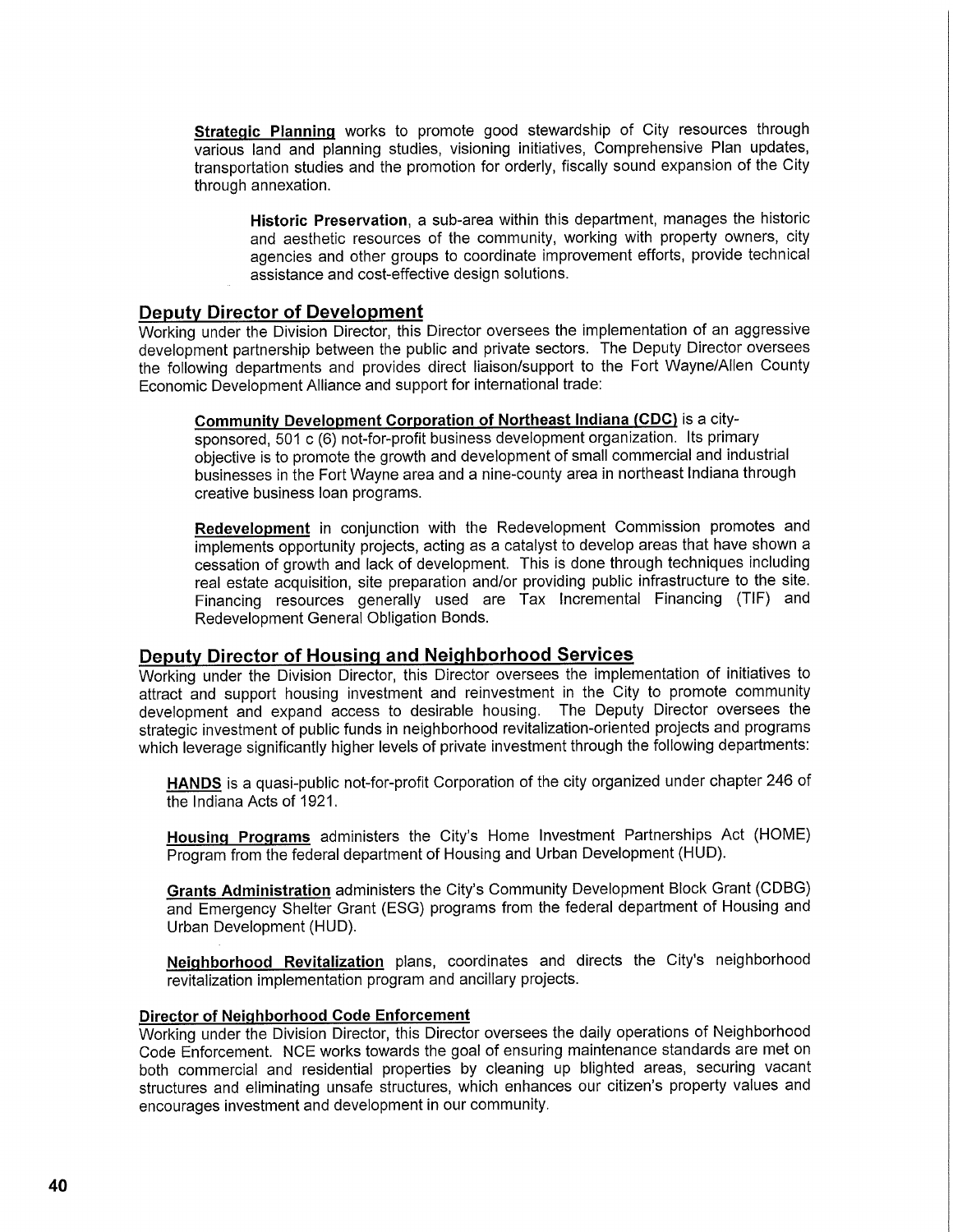**Strategic Planning** works to promote good stewardship of City resources through various land and planning studies, visioning initiatives, Comprehensive Plan updates, transportation studies and the promotion for orderly, fiscally sound expansion of the City through annexation.

**Historic Preservation,** a sub-area within this department, manages the historic and aesthetic resources of the community, working with property owners, city agencies and other groups to coordinate improvement efforts, provide technical assistance and cost-effective design solutions.

#### **Deputy Director of Development**

Working under the Division Director, this Director oversees the implementation of an aggressive development partnership between the public and private sectors. The Deputy Director oversees the following departments and provides direct liaison/support to the Fort Wayne/Allen County Economic Development Alliance and support for international trade:

**Community Development Corporation of Northeast Indiana (CDC)** is a citysponsored, 501 c (6) not-for-profit business development organization. Its primary

objective is to promote the growth and development of small commercial and industrial businesses in the Fort Wayne area and a nine-county area in northeast Indiana through creative business loan programs.

**Redevelopment** in conjunction with the Redevelopment Commission promotes and implements opportunity projects, acting as a catalyst to develop areas that have shown a cessation of growth and lack of development. This is done through techniques including real estate acquisition, site preparation and/or providing public infrastructure to the site. Financing resources generally used are Tax Incremental Financing (TIF) and Redevelopment General Obligation Bonds.

# **Deputy Director of Housing and Neighborhood Services**

Working under the Division Director, this Director oversees the implementation of initiatives to attract and support housing investment and reinvestment in the City to promote community development and expand access to desirable housing. The Deputy Director oversees the strategic investment of public funds in neighborhood revitalization-oriented projects and programs which leverage significantly higher levels of private investment through the following departments:

**HANDS** is a quasi-public not-for-profit Corporation of the city organized under chapter 246 of the Indiana Acts of 1921.

**Housing Programs** administers the City's Home Investment Partnerships Act (HOME) Program from the federal department of Housing and Urban Development (HUD).

**Grants Administration** administers the City's Community Development Block Grant (CDBG) and Emergency Shelter Grant (ESG) programs from the federal department of Housing and Urban Development (HUD).

**Neighborhood Revitalization** plans, coordinates and directs the City's neighborhood revitalization implementation program and ancillary projects.

#### **Director of Neighborhood Code Enforcement**

Working under the Division Director, this Director oversees the daily operations of Neighborhood Code Enforcement. NCE works towards the goal of ensuring maintenance standards are met on both commercial and residential properties by cleaning up blighted areas, securing vacant structures and eliminating unsafe structures, which enhances our citizen's property values and encourages investment and development in our community.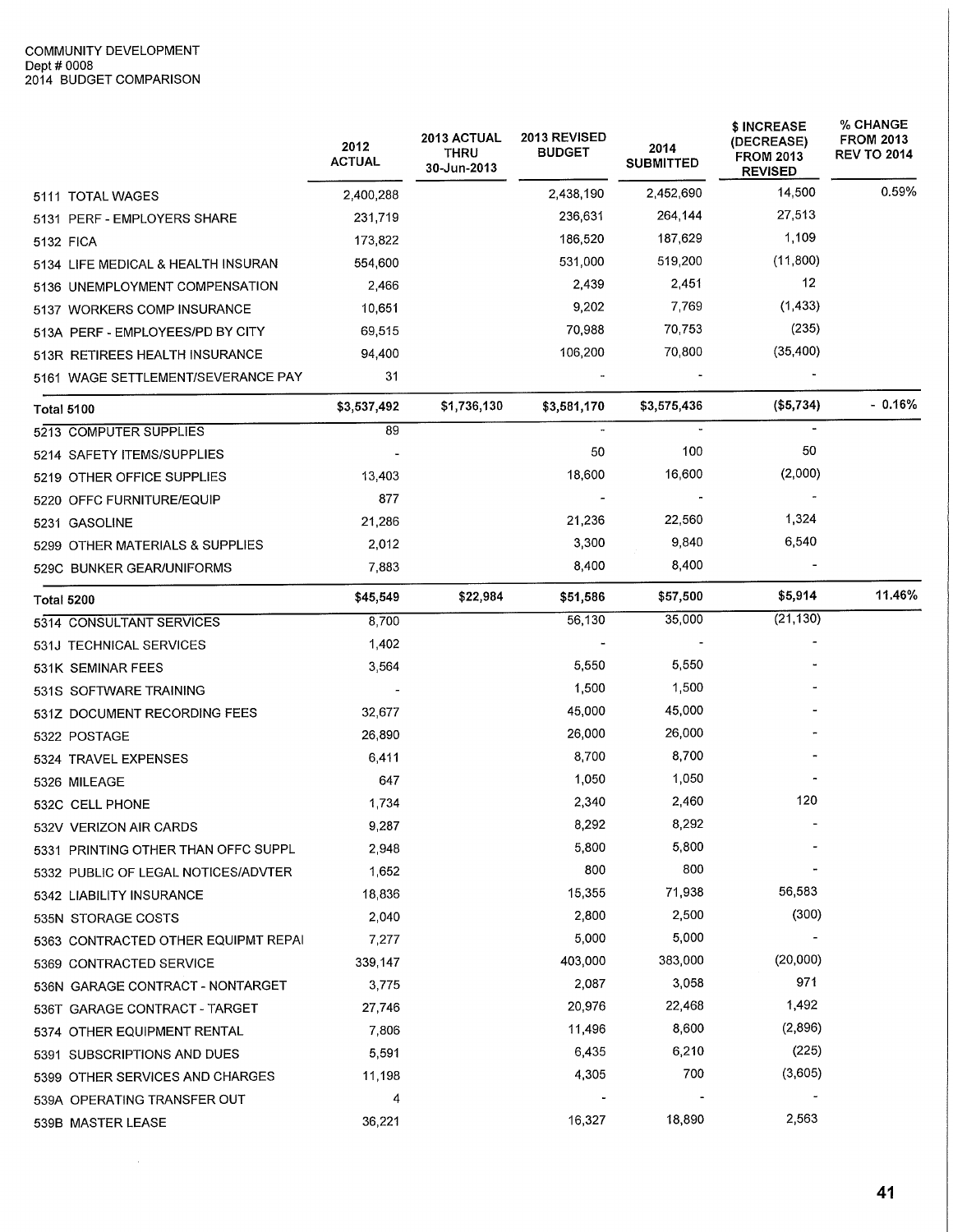$\sim 10^{-1}$ 

|                                     | 2012<br><b>ACTUAL</b> | <b>2013 ACTUAL</b><br><b>THRU</b><br>30-Jun-2013 | 2013 REVISED<br><b>BUDGET</b> | 2014<br><b>SUBMITTED</b> | \$ INCREASE<br>(DECREASE)<br><b>FROM 2013</b><br><b>REVISED</b> | <b>% CHANGE</b><br><b>FROM 2013</b><br><b>REV TO 2014</b> |
|-------------------------------------|-----------------------|--------------------------------------------------|-------------------------------|--------------------------|-----------------------------------------------------------------|-----------------------------------------------------------|
| 5111 TOTAL WAGES                    | 2,400,288             |                                                  | 2,438,190                     | 2,452,690                | 14,500                                                          | 0.59%                                                     |
| 5131 PERF - EMPLOYERS SHARE         | 231,719               |                                                  | 236,631                       | 264,144                  | 27,513                                                          |                                                           |
| 5132 FICA                           | 173,822               |                                                  | 186,520                       | 187,629                  | 1,109                                                           |                                                           |
| 5134 LIFE MEDICAL & HEALTH INSURAN  | 554,600               |                                                  | 531,000                       | 519,200                  | (11,800)                                                        |                                                           |
| 5136 UNEMPLOYMENT COMPENSATION      | 2,466                 |                                                  | 2,439                         | 2,451                    | 12                                                              |                                                           |
| 5137 WORKERS COMP INSURANCE         | 10,651                |                                                  | 9,202                         | 7,769                    | (1, 433)                                                        |                                                           |
| 513A PERF - EMPLOYEES/PD BY CITY    | 69,515                |                                                  | 70,988                        | 70,753                   | (235)                                                           |                                                           |
| 513R RETIREES HEALTH INSURANCE      | 94,400                |                                                  | 106,200                       | 70,800                   | (35, 400)                                                       |                                                           |
| 5161_WAGE SETTLEMENT/SEVERANCE PAY  | 31                    |                                                  |                               |                          |                                                                 |                                                           |
| <b>Total 5100</b>                   | \$3,537,492           | \$1,736,130                                      | \$3,581,170                   | \$3,575,436              | (\$5,734)                                                       | $-0.16%$                                                  |
| 5213 COMPUTER SUPPLIES              | 89                    |                                                  |                               |                          |                                                                 |                                                           |
| 5214 SAFETY ITEMS/SUPPLIES          |                       |                                                  | 50                            | 100                      | 50                                                              |                                                           |
| 5219 OTHER OFFICE SUPPLIES          | 13,403                |                                                  | 18,600                        | 16,600                   | (2,000)                                                         |                                                           |
| 5220 OFFC FURNITURE/EQUIP           | 877                   |                                                  |                               |                          |                                                                 |                                                           |
| 5231 GASOLINE                       | 21,286                |                                                  | 21,236                        | 22,560                   | 1,324                                                           |                                                           |
| 5299 OTHER MATERIALS & SUPPLIES     | 2,012                 |                                                  | 3,300                         | 9,840                    | 6,540                                                           |                                                           |
| 529C BUNKER GEAR/UNIFORMS           | 7,883                 |                                                  | 8,400                         | 8,400                    |                                                                 |                                                           |
| <b>Total 5200</b>                   | \$45,549              | \$22,984                                         | \$51,586                      | \$57,500                 | \$5,914                                                         | 11.46%                                                    |
| 5314 CONSULTANT SERVICES            | 8,700                 |                                                  | 56,130                        | 35,000                   | (21, 130)                                                       |                                                           |
| 531J TECHNICAL SERVICES             | 1,402                 |                                                  |                               |                          |                                                                 |                                                           |
| 531K SEMINAR FEES                   | 3,564                 |                                                  | 5,550                         | 5,550                    |                                                                 |                                                           |
| 531S SOFTWARE TRAINING              |                       |                                                  | 1,500                         | 1,500                    |                                                                 |                                                           |
| 531Z DOCUMENT RECORDING FEES        | 32,677                |                                                  | 45,000                        | 45,000                   |                                                                 |                                                           |
| 5322 POSTAGE                        | 26,890                |                                                  | 26,000                        | 26,000                   |                                                                 |                                                           |
| 5324 TRAVEL EXPENSES                | 6,411                 |                                                  | 8,700                         | 8,700                    |                                                                 |                                                           |
| 5326 MILEAGE                        | 647                   |                                                  | 1,050                         | 1,050                    |                                                                 |                                                           |
| 532C CELL PHONE                     | 1,734                 |                                                  | 2,340                         | 2,460                    | 120                                                             |                                                           |
| 532V VERIZON AIR CARDS              | 9,287                 |                                                  | 8,292                         | 8,292                    |                                                                 |                                                           |
| 5331 PRINTING OTHER THAN OFFC SUPPL | 2,948                 |                                                  | 5,800                         | 5,800                    |                                                                 |                                                           |
| 5332 PUBLIC OF LEGAL NOTICES/ADVTER | 1,652                 |                                                  | 800                           | 800                      |                                                                 |                                                           |
| 5342 LIABILITY INSURANCE            | 18,836                |                                                  | 15,355                        | 71,938                   | 56,583                                                          |                                                           |
| 535N STORAGE COSTS                  | 2,040                 |                                                  | 2,800                         | 2,500                    | (300)                                                           |                                                           |
| 5363 CONTRACTED OTHER EQUIPMT REPAI | 7,277                 |                                                  | 5,000                         | 5,000                    |                                                                 |                                                           |
| 5369 CONTRACTED SERVICE             | 339,147               |                                                  | 403,000                       | 383,000                  | (20,000)                                                        |                                                           |
| 536N GARAGE CONTRACT - NONTARGET    | 3,775                 |                                                  | 2,087                         | 3,058                    | 971                                                             |                                                           |
| 536T GARAGE CONTRACT - TARGET       | 27,746                |                                                  | 20,976                        | 22,468                   | 1,492                                                           |                                                           |
| 5374 OTHER EQUIPMENT RENTAL         | 7,806                 |                                                  | 11,496                        | 8,600                    | (2,896)                                                         |                                                           |
| 5391 SUBSCRIPTIONS AND DUES         | 5,591                 |                                                  | 6,435                         | 6,210                    | (225)                                                           |                                                           |
| 5399 OTHER SERVICES AND CHARGES     | 11,198                |                                                  | 4,305                         | 700                      | (3,605)                                                         |                                                           |
| 539A OPERATING TRANSFER OUT         | 4                     |                                                  |                               |                          |                                                                 |                                                           |
| 539B MASTER LEASE                   | 36,221                |                                                  | 16,327                        | 18,890                   | 2,563                                                           |                                                           |